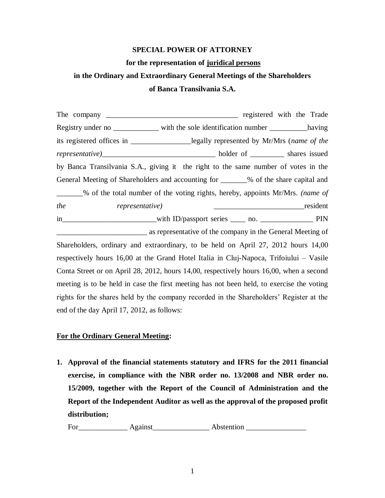## **SPECIAL POWER OF ATTORNEY**

### **for the representation of juridical persons**

# **in the Ordinary and Extraordinary General Meetings of the Shareholders of Banca Transilvania S.A.**

The company **The company**  $\qquad \qquad$  registered with the Trade Registry under no \_\_\_\_\_\_\_\_\_\_\_\_\_\_ with the sole identification number \_\_\_\_\_\_\_\_\_\_\_ having its registered offices in \_\_\_\_\_\_\_\_\_\_\_\_\_\_\_\_legally represented by Mr/Mrs (*name of the representative)*\_\_\_\_\_\_\_\_\_\_\_\_\_\_\_\_\_\_\_\_\_\_\_\_\_\_\_\_\_\_ holder of \_\_\_\_\_\_\_\_\_ shares issued by Banca Transilvania S.A., giving it the right to the same number of votes in the General Meeting of Shareholders and accounting for \_\_\_\_\_\_% of the share capital and \_\_\_\_\_\_\_% of the total number of the voting rights, hereby, appoints Mr/Mrs. *(name of the representative)* \_\_\_\_\_\_\_\_\_\_\_\_\_\_\_\_\_\_\_\_\_\_\_\_resident in with ID/passport series \_\_\_\_ no. \_\_\_\_\_\_\_\_\_\_\_\_\_ PIN \_\_\_\_\_\_\_\_\_\_\_\_\_\_\_\_\_\_\_\_\_\_\_\_ as representative of the company in the General Meeting of Shareholders, ordinary and extraordinary, to be held on April 27, 2012 hours 14,00 respectively hours 16,00 at the Grand Hotel Italia in Cluj-Napoca, Trifoiului – Vasile Conta Street or on April 28, 2012, hours 14,00, respectively hours 16,00, when a second meeting is to be held in case the first meeting has not been held, to exercise the voting rights for the shares held by the company recorded in the Shareholders' Register at the end of the day April 17, 2012, as follows:

## **For the Ordinary General Meeting:**

**1. Approval of the financial statements statutory and IFRS for the 2011 financial exercise, in compliance with the NBR order no. 13/2008 and NBR order no. 15/2009, together with the Report of the Council of Administration and the Report of the Independent Auditor as well as the approval of the proposed profit distribution;** 

For\_\_\_\_\_\_\_\_\_\_\_\_\_ Against\_\_\_\_\_\_\_\_\_\_\_\_\_\_\_ Abstention \_\_\_\_\_\_\_\_\_\_\_\_\_\_\_\_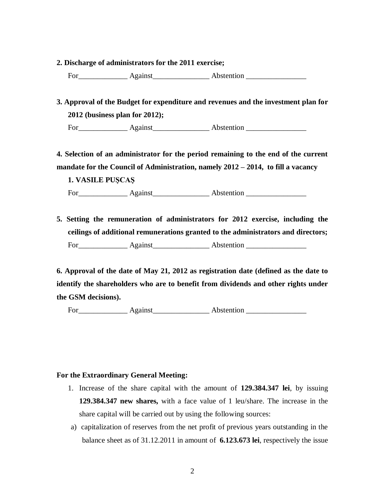**2. Discharge of administrators for the 2011 exercise;** 

For\_\_\_\_\_\_\_\_\_\_\_\_\_ Against\_\_\_\_\_\_\_\_\_\_\_\_\_\_\_ Abstention \_\_\_\_\_\_\_\_\_\_\_\_\_\_\_\_

**3. Approval of the Budget for expenditure and revenues and the investment plan for 2012 (business plan for 2012);** 

For\_\_\_\_\_\_\_\_\_\_\_\_\_ Against\_\_\_\_\_\_\_\_\_\_\_\_\_\_\_ Abstention \_\_\_\_\_\_\_\_\_\_\_\_\_\_\_\_

**4. Selection of an administrator for the period remaining to the end of the current mandate for the Council of Administration, namely 2012 – 2014, to fill a vacancy**

**1. VASILE PUŞCAŞ** For\_\_\_\_\_\_\_\_\_\_\_\_\_ Against\_\_\_\_\_\_\_\_\_\_\_\_\_\_\_ Abstention \_\_\_\_\_\_\_\_\_\_\_\_\_\_\_\_

**5. Setting the remuneration of administrators for 2012 exercise, including the ceilings of additional remunerations granted to the administrators and directors;**  For\_\_\_\_\_\_\_\_\_\_\_\_\_ Against\_\_\_\_\_\_\_\_\_\_\_\_\_\_\_ Abstention \_\_\_\_\_\_\_\_\_\_\_\_\_\_\_\_

**6. Approval of the date of May 21, 2012 as registration date (defined as the date to identify the shareholders who are to benefit from dividends and other rights under the GSM decisions).**

For\_\_\_\_\_\_\_\_\_\_\_\_\_ Against\_\_\_\_\_\_\_\_\_\_\_\_\_\_\_ Abstention \_\_\_\_\_\_\_\_\_\_\_\_\_\_\_\_

## **For the Extraordinary General Meeting:**

- 1. Increase of the share capital with the amount of **129.384.347 lei**, by issuing **129.384.347 new shares,** with a face value of 1 leu/share. The increase in the share capital will be carried out by using the following sources:
- a) capitalization of reserves from the net profit of previous years outstanding in the balance sheet as of 31.12.2011 in amount of **6.123.673 lei**, respectively the issue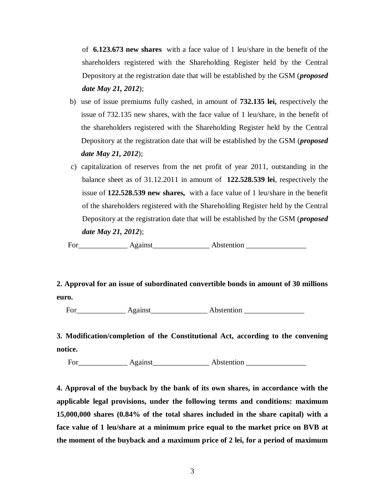of **6.123.673 new shares** with a face value of 1 leu/share in the benefit of the shareholders registered with the Shareholding Register held by the Central Depository at the registration date that will be established by the GSM (*proposed date May 21, 2012*);

- b) use of issue premiums fully cashed, in amount of **732.135 lei,** respectively the issue of 732.135 new shares, with the face value of 1 leu/share, in the benefit of the shareholders registered with the Shareholding Register held by the Central Depository at the registration date that will be established by the GSM (*proposed date May 21, 2012*);
- c) capitalization of reserves from the net profit of year 2011, outstanding in the balance sheet as of 31.12.2011 in amount of **122.528.539 lei**, respectively the issue of **122.528.539 new shares,** with a face value of 1 leu/share in the benefit of the shareholders registered with the Shareholding Register held by the Central Depository at the registration date that will be established by the GSM (*proposed date May 21, 2012*);

For\_\_\_\_\_\_\_\_\_\_\_\_\_ Against\_\_\_\_\_\_\_\_\_\_\_\_\_\_\_ Abstention \_\_\_\_\_\_\_\_\_\_\_\_\_\_\_\_

**2. Approval for an issue of subordinated convertible bonds in amount of 30 millions euro.**

For\_\_\_\_\_\_\_\_\_\_\_\_\_ Against\_\_\_\_\_\_\_\_\_\_\_\_\_\_\_ Abstention \_\_\_\_\_\_\_\_\_\_\_\_\_\_\_\_

**3. Modification/completion of the Constitutional Act, according to the convening notice.**

For Against Abstention

**4. Approval of the buyback by the bank of its own shares, in accordance with the applicable legal provisions, under the following terms and conditions: maximum 15,000,000 shares (0.84% of the total shares included in the share capital) with a face value of 1 leu/share at a minimum price equal to the market price on BVB at the moment of the buyback and a maximum price of 2 lei, for a period of maximum**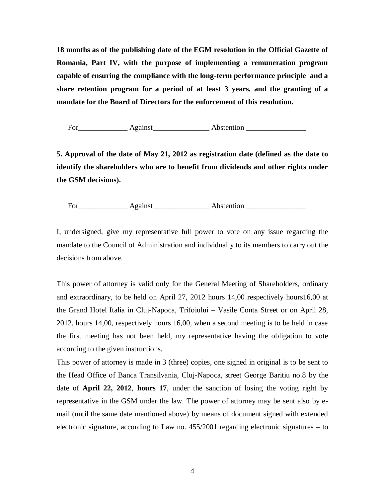**18 months as of the publishing date of the EGM resolution in the Official Gazette of Romania, Part IV, with the purpose of implementing a remuneration program capable of ensuring the compliance with the long-term performance principle and a share retention program for a period of at least 3 years, and the granting of a mandate for the Board of Directors for the enforcement of this resolution.** 

For\_\_\_\_\_\_\_\_\_\_\_\_\_ Against\_\_\_\_\_\_\_\_\_\_\_\_\_\_\_ Abstention \_\_\_\_\_\_\_\_\_\_\_\_\_\_\_\_

**5. Approval of the date of May 21, 2012 as registration date (defined as the date to identify the shareholders who are to benefit from dividends and other rights under the GSM decisions).**

For\_\_\_\_\_\_\_\_\_\_\_\_\_ Against\_\_\_\_\_\_\_\_\_\_\_\_\_\_\_ Abstention \_\_\_\_\_\_\_\_\_\_\_\_\_\_\_\_

I, undersigned, give my representative full power to vote on any issue regarding the mandate to the Council of Administration and individually to its members to carry out the decisions from above.

This power of attorney is valid only for the General Meeting of Shareholders, ordinary and extraordinary, to be held on April 27, 2012 hours 14,00 respectively hours16,00 at the Grand Hotel Italia in Cluj-Napoca, Trifoiului – Vasile Conta Street or on April 28, 2012, hours 14,00, respectively hours 16,00, when a second meeting is to be held in case the first meeting has not been held, my representative having the obligation to vote according to the given instructions.

This power of attorney is made in 3 (three) copies, one signed in original is to be sent to the Head Office of Banca Transilvania, Cluj-Napoca, street George Baritiu no.8 by the date of **April 22, 2012**, **hours 17**, under the sanction of losing the voting right by representative in the GSM under the law. The power of attorney may be sent also by email (until the same date mentioned above) by means of document signed with extended electronic signature, according to Law no. 455/2001 regarding electronic signatures – to